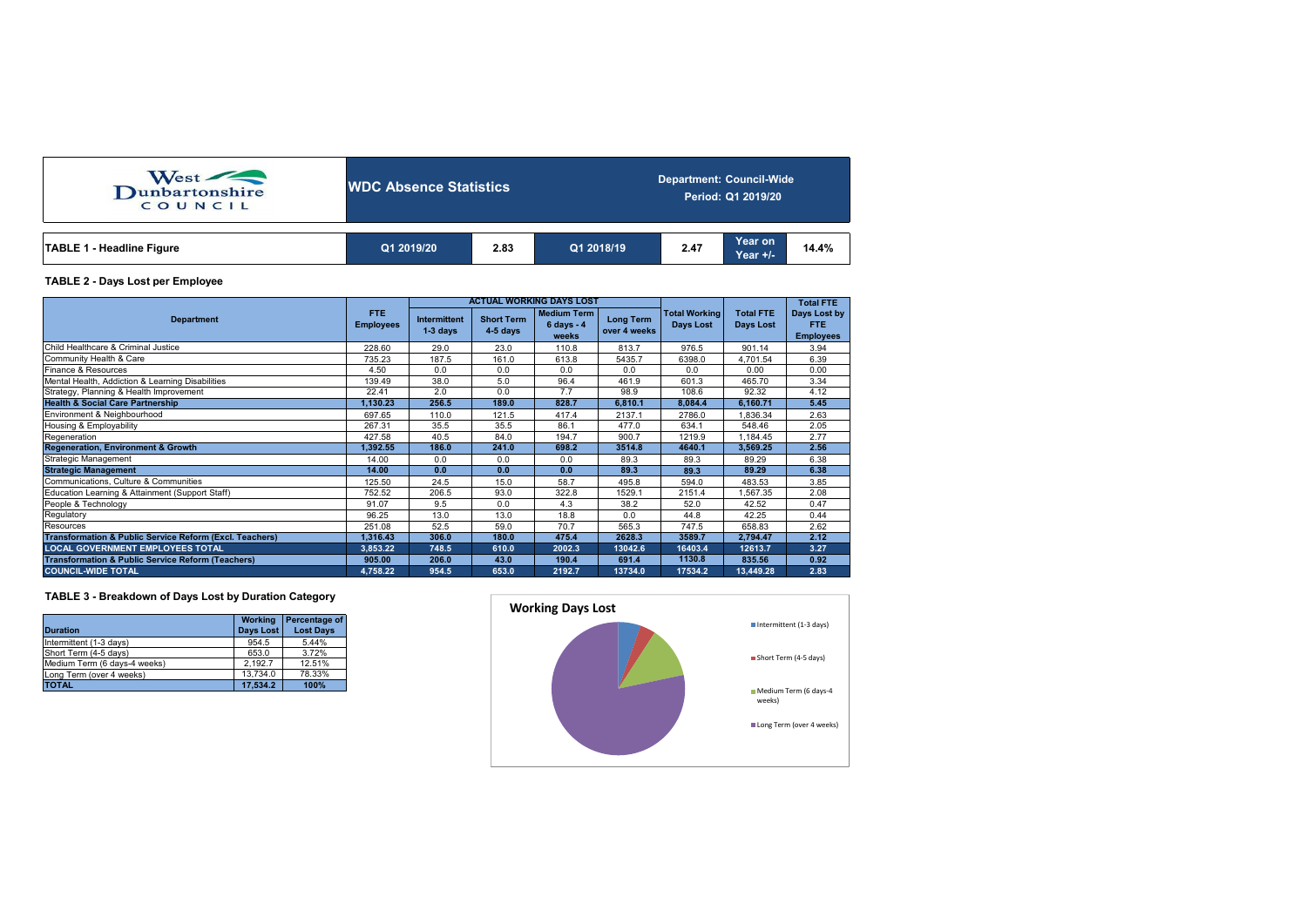| West<br>COUNCIL           | <b>IWDC Absence Statistics</b> |      |            | <b>Department: Council-Wide</b><br>Period: Q1 2019/20 |                     |       |  |  |  |
|---------------------------|--------------------------------|------|------------|-------------------------------------------------------|---------------------|-------|--|--|--|
| TABLE 1 - Headline Figure | Q1 2019/20                     | 2.83 | Q1 2018/19 | 2.47                                                  | Year on<br>Year +/- | 14.4% |  |  |  |

## **TABLE 2 - Days Lost per Employee**

|                                                                    |                          |                                   |                                 | <b>ACTUAL WORKING DAYS LOST</b>                     |                                  |                                          | <b>Total FTE</b>              |                                          |
|--------------------------------------------------------------------|--------------------------|-----------------------------------|---------------------------------|-----------------------------------------------------|----------------------------------|------------------------------------------|-------------------------------|------------------------------------------|
| <b>Department</b>                                                  | FTE.<br><b>Employees</b> | <b>Intermittent</b><br>$1-3$ days | <b>Short Term</b><br>$4-5$ days | <b>Medium Term</b><br>$6 \text{ days} - 4$<br>weeks | <b>Long Term</b><br>over 4 weeks | <b>Total Working</b><br><b>Days Lost</b> | <b>Total FTE</b><br>Days Lost | Days Lost by<br>FTE.<br><b>Employees</b> |
| Child Healthcare & Criminal Justice                                | 228.60                   | 29.0                              | 23.0                            | 110.8                                               | 813.7                            | 976.5                                    | 901.14                        | 3.94                                     |
| Community Health & Care                                            | 735.23                   | 187.5                             | 161.0                           | 613.8                                               | 5435.7                           | 6398.0                                   | 4,701.54                      | 6.39                                     |
| Finance & Resources                                                | 4.50                     | 0.0                               | 0.0                             | 0.0                                                 | 0.0                              | 0.0                                      | 0.00                          | 0.00                                     |
| Mental Health, Addiction & Learning Disabilities                   | 139.49                   | 38.0                              | 5.0                             | 96.4                                                | 461.9                            | 601.3                                    | 465.70                        | 3.34                                     |
| Strategy, Planning & Health Improvement                            | 22.41                    | 2.0                               | 0.0                             | 7.7                                                 | 98.9                             | 108.6                                    | 92.32                         | 4.12                                     |
| <b>Health &amp; Social Care Partnership</b>                        | 1,130.23                 | 256.5                             | 189.0                           | 828.7                                               | 6.810.1                          | 8.084.4                                  | 6,160.71                      | 5.45                                     |
| Environment & Neighbourhood                                        | 697.65                   | 110.0                             | 121.5                           | 417.4                                               | 2137.1                           | 2786.0                                   | 1.836.34                      | 2.63                                     |
| Housing & Employability                                            | 267.31                   | 35.5                              | 35.5                            | 86.1                                                | 477.0                            | 634.1                                    | 548.46                        | 2.05                                     |
| Regeneration                                                       | 427.58                   | 40.5                              | 84.0                            | 194.7                                               | 900.7                            | 1219.9                                   | 1,184.45                      | 2.77                                     |
| <b>Regeneration, Environment &amp; Growth</b>                      | 1,392.55                 | 186.0                             | 241.0                           | 698.2                                               | 3514.8                           | 4640.1                                   | 3,569.25                      | 2.56                                     |
| Strategic Management                                               | 14.00                    | 0.0                               | 0.0                             | 0.0                                                 | 89.3                             | 89.3                                     | 89.29                         | 6.38                                     |
| <b>Strategic Management</b>                                        | 14.00                    | 0.0                               | 0.0                             | 0.0                                                 | 89.3                             | 89.3                                     | 89.29                         | 6.38                                     |
| Communications, Culture & Communities                              | 125.50                   | 24.5                              | 15.0                            | 58.7                                                | 495.8                            | 594.0                                    | 483.53                        | 3.85                                     |
| Education Learning & Attainment (Support Staff)                    | 752.52                   | 206.5                             | 93.0                            | 322.8                                               | 1529.1                           | 2151.4                                   | 1,567.35                      | 2.08                                     |
| People & Technology                                                | 91.07                    | 9.5                               | 0.0                             | 4.3                                                 | 38.2                             | 52.0                                     | 42.52                         | 0.47                                     |
| Regulatory                                                         | 96.25                    | 13.0                              | 13.0                            | 18.8                                                | 0.0                              | 44.8                                     | 42.25                         | 0.44                                     |
| Resources                                                          | 251.08                   | 52.5                              | 59.0                            | 70.7                                                | 565.3                            | 747.5                                    | 658.83                        | 2.62                                     |
| <b>Transformation &amp; Public Service Reform (Excl. Teachers)</b> | 1.316.43                 | 306.0                             | 180.0                           | 475.4                                               | 2628.3                           | 3589.7                                   | 2.794.47                      | 2.12                                     |
| <b>LOCAL GOVERNMENT EMPLOYEES TOTAL</b>                            | 3.853.22                 | 748.5                             | 610.0                           | 2002.3                                              | 13042.6                          | 16403.4                                  | 12613.7                       | 3.27                                     |
| <b>Transformation &amp; Public Service Reform (Teachers)</b>       | 905.00                   | 206.0                             | 43.0                            | 190.4                                               | 691.4                            | 1130.8                                   | 835.56                        | 0.92                                     |
| <b>COUNCIL-WIDE TOTAL</b>                                          | 4.758.22                 | 954.5                             | 653.0                           | 2192.7                                              | 13734.0                          | 17534.2                                  | 13.449.28                     | 2.83                                     |

## **TABLE 3 - Breakdown of Days Lost by Duration Category**

| <b>Duration</b>              | <b>Working</b><br><b>Davs Lost</b> | Percentage of<br><b>Lost Davs</b> |
|------------------------------|------------------------------------|-----------------------------------|
| Intermittent (1-3 days)      | 954.5                              | 5.44%                             |
| Short Term (4-5 days)        | 653.0                              | 3.72%                             |
| Medium Term (6 days-4 weeks) | 2.192.7                            | 12.51%                            |
| Long Term (over 4 weeks)     | 13.734.0                           | 78.33%                            |
| <b>TOTAL</b>                 | 17.534.2                           | 100%                              |